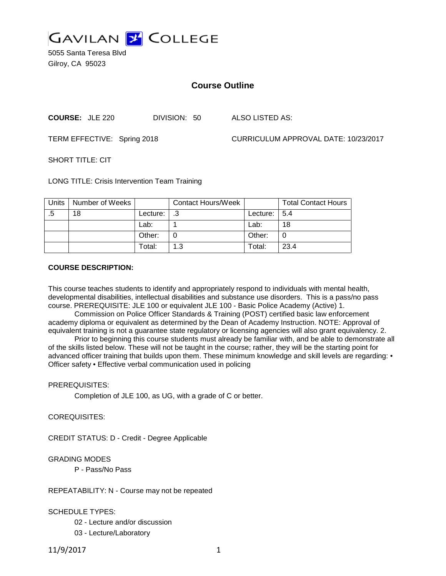

5055 Santa Teresa Blvd Gilroy, CA 95023

# **Course Outline**

**COURSE:** JLE 220 DIVISION: 50 ALSO LISTED AS:

TERM EFFECTIVE: Spring 2018 CURRICULUM APPROVAL DATE: 10/23/2017

 $SHORT$  TITLE: CIT

LONG TITLE: Crisis Intervention Team Training

| <b>Units</b> | Number of Weeks |          | <b>Contact Hours/Week</b> |                 | <b>Total Contact Hours</b> |
|--------------|-----------------|----------|---------------------------|-----------------|----------------------------|
| .5           | 18              | Lecture: |                           | Lecture: $15.4$ |                            |
|              |                 | Lab:     |                           | Lab:            | 18                         |
|              |                 | Other:   |                           | Other:          |                            |
|              |                 | Total:   | 1.3                       | Total:          | 23.4                       |

#### **COURSE DESCRIPTION:**

This course teaches students to identify and appropriately respond to individuals with mental health, developmental disabilities, intellectual disabilities and substance use disorders. This is a pass/no pass course. PREREQUISITE: JLE 100 or equivalent JLE 100 - Basic Police Academy (Active) 1.

Commission on Police Officer Standards & Training (POST) certified basic law enforcement academy diploma or equivalent as determined by the Dean of Academy Instruction. NOTE: Approval of equivalent training is not a guarantee state regulatory or licensing agencies will also grant equivalency. 2.

Prior to beginning this course students must already be familiar with, and be able to demonstrate all of the skills listed below. These will not be taught in the course; rather, they will be the starting point for advanced officer training that builds upon them. These minimum knowledge and skill levels are regarding: • Officer safety • Effective verbal communication used in policing

PREREQUISITES:

Completion of JLE 100, as UG, with a grade of C or better.

COREQUISITES:

CREDIT STATUS: D - Credit - Degree Applicable

GRADING MODES

P - Pass/No Pass

REPEATABILITY: N - Course may not be repeated

SCHEDULE TYPES:

02 - Lecture and/or discussion

03 - Lecture/Laboratory

11/9/2017 1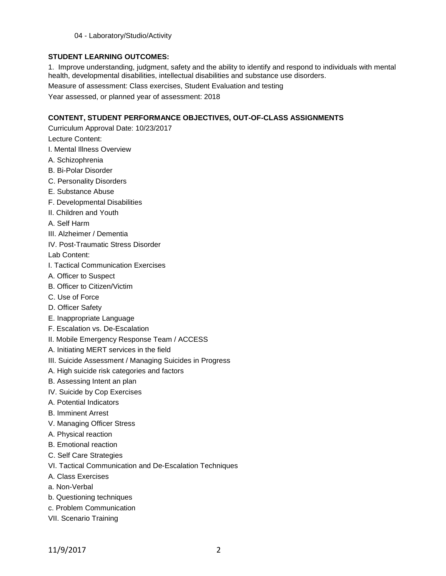04 - Laboratory/Studio/Activity

## **STUDENT LEARNING OUTCOMES:**

1. Improve understanding, judgment, safety and the ability to identify and respond to individuals with mental health, developmental disabilities, intellectual disabilities and substance use disorders.

Measure of assessment: Class exercises, Student Evaluation and testing

Year assessed, or planned year of assessment: 2018

# **CONTENT, STUDENT PERFORMANCE OBJECTIVES, OUT-OF-CLASS ASSIGNMENTS**

Curriculum Approval Date: 10/23/2017

Lecture Content:

- I. Mental Illness Overview
- A. Schizophrenia
- B. Bi-Polar Disorder
- C. Personality Disorders
- E. Substance Abuse
- F. Developmental Disabilities
- II. Children and Youth
- A. Self Harm
- III. Alzheimer / Dementia
- IV. Post-Traumatic Stress Disorder

Lab Content:

- I. Tactical Communication Exercises
- A. Officer to Suspect
- B. Officer to Citizen/Victim
- C. Use of Force
- D. Officer Safety
- E. Inappropriate Language
- F. Escalation vs. De-Escalation
- II. Mobile Emergency Response Team / ACCESS
- A. Initiating MERT services in the field
- III. Suicide Assessment / Managing Suicides in Progress
- A. High suicide risk categories and factors
- B. Assessing Intent an plan
- IV. Suicide by Cop Exercises
- A. Potential Indicators
- B. Imminent Arrest
- V. Managing Officer Stress
- A. Physical reaction
- B. Emotional reaction
- C. Self Care Strategies
- VI. Tactical Communication and De-Escalation Techniques
- A. Class Exercises
- a. Non-Verbal
- b. Questioning techniques
- c. Problem Communication
- VII. Scenario Training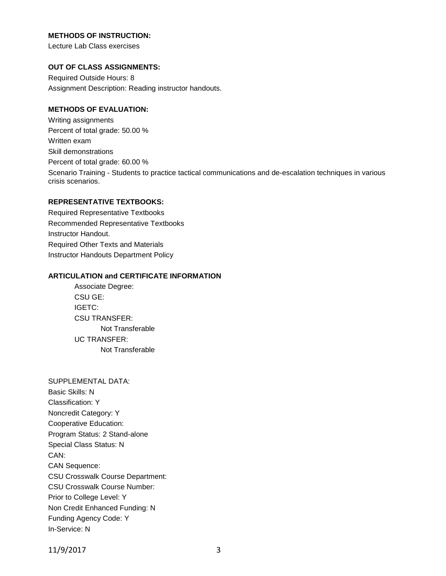### **METHODS OF INSTRUCTION:**

Lecture Lab Class exercises

#### **OUT OF CLASS ASSIGNMENTS:**

Required Outside Hours: 8 Assignment Description: Reading instructor handouts.

### **METHODS OF EVALUATION:**

Writing assignments Percent of total grade: 50.00 % Written exam Skill demonstrations Percent of total grade: 60.00 % Scenario Training - Students to practice tactical communications and de-escalation techniques in various crisis scenarios.

## **REPRESENTATIVE TEXTBOOKS:**

Required Representative Textbooks Recommended Representative Textbooks Instructor Handout. Required Other Texts and Materials Instructor Handouts Department Policy

### **ARTICULATION and CERTIFICATE INFORMATION**

Associate Degree: CSU GE: IGETC: CSU TRANSFER: Not Transferable UC TRANSFER: Not Transferable

SUPPLEMENTAL DATA: Basic Skills: N Classification: Y Noncredit Category: Y Cooperative Education: Program Status: 2 Stand-alone Special Class Status: N CAN: CAN Sequence: CSU Crosswalk Course Department: CSU Crosswalk Course Number: Prior to College Level: Y Non Credit Enhanced Funding: N Funding Agency Code: Y In-Service: N

11/9/2017 3